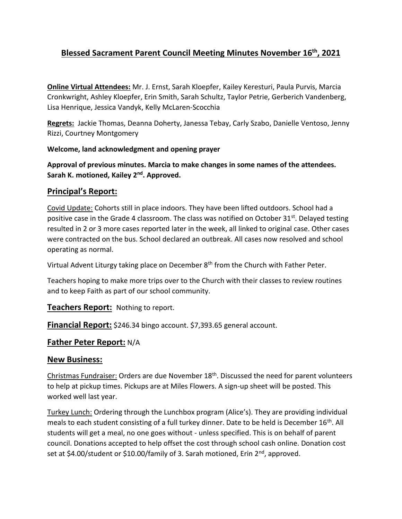# **Blessed Sacrament Parent Council Meeting Minutes November 16th, 2021**

**Online Virtual Attendees:** Mr. J. Ernst, Sarah Kloepfer, Kailey Keresturi, Paula Purvis, Marcia Cronkwright, Ashley Kloepfer, Erin Smith, Sarah Schultz, Taylor Petrie, Gerberich Vandenberg, Lisa Henrique, Jessica Vandyk, Kelly McLaren-Scocchia

**Regrets:** Jackie Thomas, Deanna Doherty, Janessa Tebay, Carly Szabo, Danielle Ventoso, Jenny Rizzi, Courtney Montgomery

#### **Welcome, land acknowledgment and opening prayer**

**Approval of previous minutes. Marcia to make changes in some names of the attendees.**  Sarah K. motioned, Kailey 2<sup>nd</sup>. Approved.

### **Principal's Report:**

Covid Update: Cohorts still in place indoors. They have been lifted outdoors. School had a positive case in the Grade 4 classroom. The class was notified on October 31<sup>st</sup>. Delayed testing resulted in 2 or 3 more cases reported later in the week, all linked to original case. Other cases were contracted on the bus. School declared an outbreak. All cases now resolved and school operating as normal.

Virtual Advent Liturgy taking place on December  $8<sup>th</sup>$  from the Church with Father Peter.

Teachers hoping to make more trips over to the Church with their classes to review routines and to keep Faith as part of our school community.

**Teachers Report:** Nothing to report.

**Financial Report:** \$246.34 bingo account. \$7,393.65 general account.

#### **Father Peter Report:** N/A

#### **New Business:**

Christmas Fundraiser: Orders are due November 18th. Discussed the need for parent volunteers to help at pickup times. Pickups are at Miles Flowers. A sign-up sheet will be posted. This worked well last year.

Turkey Lunch: Ordering through the Lunchbox program (Alice's). They are providing individual meals to each student consisting of a full turkey dinner. Date to be held is December 16<sup>th</sup>. All students will get a meal, no one goes without - unless specified. This is on behalf of parent council. Donations accepted to help offset the cost through school cash online. Donation cost set at \$4.00/student or \$10.00/family of 3. Sarah motioned, Erin  $2^{nd}$ , approved.